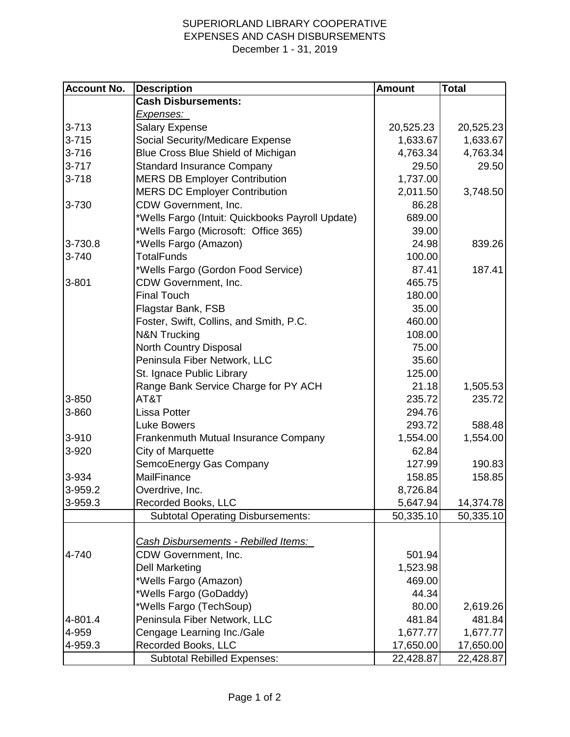## SUPERIORLAND LIBRARY COOPERATIVE EXPENSES AND CASH DISBURSEMENTS December 1 - 31, 2019

| <b>Account No.</b> | <b>Description</b>                               | <b>Amount</b> | <b>Total</b> |
|--------------------|--------------------------------------------------|---------------|--------------|
|                    | <b>Cash Disbursements:</b>                       |               |              |
|                    | <u>Expenses: </u>                                |               |              |
| $3 - 713$          | <b>Salary Expense</b>                            | 20,525.23     | 20,525.23    |
| $3 - 715$          | Social Security/Medicare Expense                 | 1,633.67      | 1,633.67     |
| $3 - 716$          | Blue Cross Blue Shield of Michigan               | 4,763.34      | 4,763.34     |
| $3 - 717$          | <b>Standard Insurance Company</b>                | 29.50         | 29.50        |
| $3 - 718$          | <b>MERS DB Employer Contribution</b>             | 1,737.00      |              |
|                    | <b>MERS DC Employer Contribution</b>             | 2,011.50      | 3,748.50     |
| 3-730              | CDW Government, Inc.                             | 86.28         |              |
|                    | *Wells Fargo (Intuit: Quickbooks Payroll Update) | 689.00        |              |
|                    | *Wells Fargo (Microsoft: Office 365)             | 39.00         |              |
| 3-730.8            | *Wells Fargo (Amazon)                            | 24.98         | 839.26       |
| 3-740              | <b>TotalFunds</b>                                | 100.00        |              |
|                    | *Wells Fargo (Gordon Food Service)               | 87.41         | 187.41       |
| $3 - 801$          | CDW Government, Inc.                             | 465.75        |              |
|                    | <b>Final Touch</b>                               | 180.00        |              |
|                    | Flagstar Bank, FSB                               | 35.00         |              |
|                    | Foster, Swift, Collins, and Smith, P.C.          | 460.00        |              |
|                    | <b>N&amp;N Trucking</b>                          | 108.00        |              |
|                    | North Country Disposal                           | 75.00         |              |
|                    | Peninsula Fiber Network, LLC                     | 35.60         |              |
|                    | St. Ignace Public Library                        | 125.00        |              |
|                    | Range Bank Service Charge for PY ACH             | 21.18         | 1,505.53     |
| 3-850              | AT&T                                             | 235.72        | 235.72       |
| 3-860              | <b>Lissa Potter</b>                              | 294.76        |              |
|                    | <b>Luke Bowers</b>                               | 293.72        | 588.48       |
| 3-910              | Frankenmuth Mutual Insurance Company             | 1,554.00      | 1,554.00     |
| 3-920              | <b>City of Marquette</b>                         | 62.84         |              |
|                    | SemcoEnergy Gas Company                          | 127.99        | 190.83       |
| 3-934              | MailFinance                                      | 158.85        | 158.85       |
| 3-959.2            | Overdrive, Inc.                                  | 8,726.84      |              |
| 3-959.3            | Recorded Books, LLC                              | 5,647.94      | 14,374.78    |
|                    | <b>Subtotal Operating Disbursements:</b>         | 50,335.10     | 50,335.10    |
|                    |                                                  |               |              |
|                    | Cash Disbursements - Rebilled Items:             |               |              |
| 4-740              | CDW Government, Inc.                             | 501.94        |              |
|                    | <b>Dell Marketing</b>                            | 1,523.98      |              |
|                    | *Wells Fargo (Amazon)                            | 469.00        |              |
|                    | *Wells Fargo (GoDaddy)                           | 44.34         |              |
|                    | *Wells Fargo (TechSoup)                          | 80.00         | 2,619.26     |
| 4-801.4            | Peninsula Fiber Network, LLC                     | 481.84        | 481.84       |
| 4-959              | Cengage Learning Inc./Gale                       | 1,677.77      | 1,677.77     |
| 4-959.3            | Recorded Books, LLC                              | 17,650.00     | 17,650.00    |
|                    | <b>Subtotal Rebilled Expenses:</b>               | 22,428.87     | 22,428.87    |